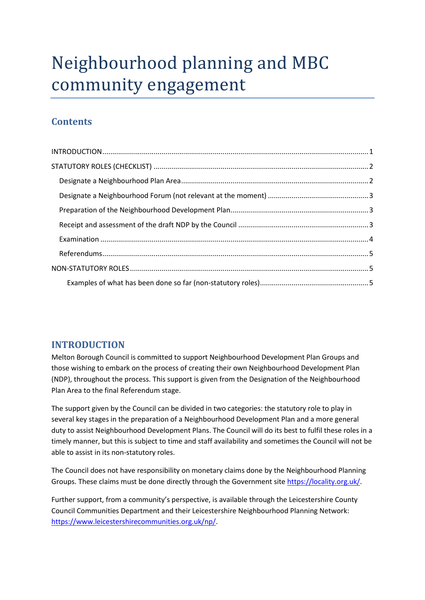# Neighbourhood planning and MBC community engagement

# **Contents**

# <span id="page-0-0"></span>**INTRODUCTION**

Melton Borough Council is committed to support Neighbourhood Development Plan Groups and those wishing to embark on the process of creating their own Neighbourhood Development Plan (NDP), throughout the process. This support is given from the Designation of the Neighbourhood Plan Area to the final Referendum stage.

The support given by the Council can be divided in two categories: the statutory role to play in several key stages in the preparation of a Neighbourhood Development Plan and a more general duty to assist Neighbourhood Development Plans. The Council will do its best to fulfil these roles in a timely manner, but this is subject to time and staff availability and sometimes the Council will not be able to assist in its non-statutory roles.

The Council does not have responsibility on monetary claims done by the Neighbourhood Planning Groups. These claims must be done directly through the Government site [https://locality.org.uk/.](https://locality.org.uk/)

Further support, from a community's perspective, is available through the Leicestershire County Council Communities Department and their Leicestershire Neighbourhood Planning Network: [https://www.leicestershirecommunities.org.uk/np/.](https://www.leicestershirecommunities.org.uk/np/)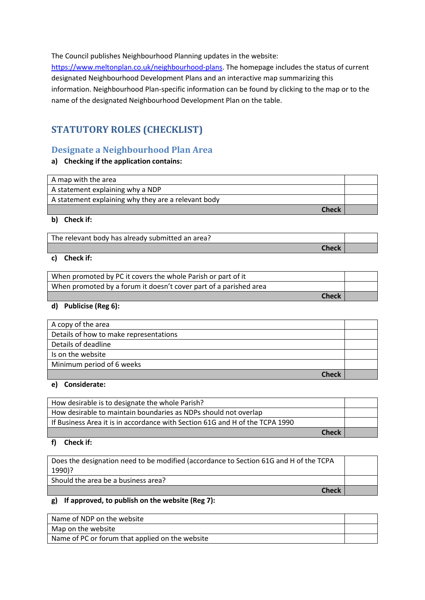The Council publishes Neighbourhood Planning updates in the website:

[https://www.meltonplan.co.uk/neighbourhood-plans.](https://www.meltonplan.co.uk/neighbourhood-plans) The homepage includes the status of current designated Neighbourhood Development Plans and an interactive map summarizing this information. Neighbourhood Plan-specific information can be found by clicking to the map or to the name of the designated Neighbourhood Development Plan on the table.

# <span id="page-1-0"></span>**STATUTORY ROLES (CHECKLIST)**

# <span id="page-1-1"></span>**Designate a Neighbourhood Plan Area**

#### **a) Checking if the application contains:**

| A map with the area                                 |  |
|-----------------------------------------------------|--|
| A statement explaining why a NDP                    |  |
| A statement explaining why they are a relevant body |  |
| <b>Check</b>                                        |  |

#### **b) Check if:**

The relevant body has already submitted an area?

#### **c) Check if:**

| When promoted by PC it covers the whole Parish or part of it      |  |
|-------------------------------------------------------------------|--|
| When promoted by a forum it doesn't cover part of a parished area |  |
| <b>Check</b>                                                      |  |

**Check**

**Check**

#### **d) Publicise (Reg 6):**

| A copy of the area                     |  |
|----------------------------------------|--|
| Details of how to make representations |  |
| Details of deadline                    |  |
| Is on the website                      |  |
| Minimum period of 6 weeks              |  |
| Check                                  |  |

#### **e) Considerate:**

| How desirable is to designate the whole Parish?                              |  |
|------------------------------------------------------------------------------|--|
| How desirable to maintain boundaries as NDPs should not overlap              |  |
| If Business Area it is in accordance with Section 61G and H of the TCPA 1990 |  |
| <b>Check</b>                                                                 |  |

#### **f) Check if:**

Does the designation need to be modified (accordance to Section 61G and H of the TCPA 1990)?

Should the area be a business area?

#### **g) If approved, to publish on the website (Reg 7):**

| Name of NDP on the website                      |  |
|-------------------------------------------------|--|
| Map on the website                              |  |
| Name of PC or forum that applied on the website |  |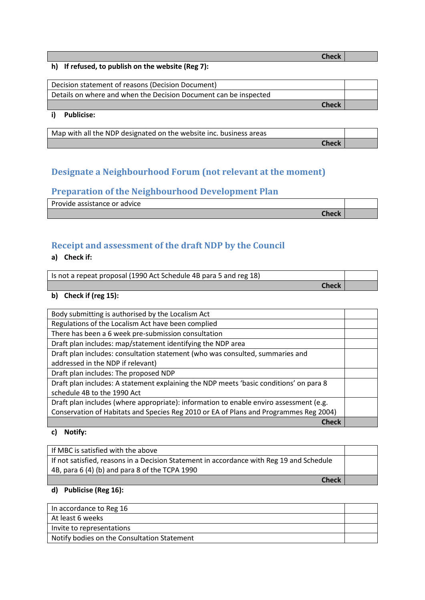**Check**

**Check**

**Check**

#### **h) If refused, to publish on the website (Reg 7):**

| Decision statement of reasons (Decision Document)                |  |
|------------------------------------------------------------------|--|
| Details on where and when the Decision Document can be inspected |  |
| <b>Check</b>                                                     |  |

## **i) Publicise:**

Map with all the NDP designated on the website inc. business areas

# <span id="page-2-0"></span>**Designate a Neighbourhood Forum (not relevant at the moment)**

## <span id="page-2-1"></span>**Preparation of the Neighbourhood Development Plan**

Provide assistance or advice

# <span id="page-2-2"></span>**Receipt and assessment of the draft NDP by the Council**

#### **a) Check if:**

| Is not a repeat proposal (1990 Act Schedule 4B para 5 and reg 18) |  |
|-------------------------------------------------------------------|--|
| Check                                                             |  |

#### **b) Check if (reg 15):**

| Body submitting is authorised by the Localism Act                                      |  |
|----------------------------------------------------------------------------------------|--|
|                                                                                        |  |
| Regulations of the Localism Act have been complied                                     |  |
| There has been a 6 week pre-submission consultation                                    |  |
| Draft plan includes: map/statement identifying the NDP area                            |  |
| Draft plan includes: consultation statement (who was consulted, summaries and          |  |
| addressed in the NDP if relevant)                                                      |  |
| Draft plan includes: The proposed NDP                                                  |  |
| Draft plan includes: A statement explaining the NDP meets 'basic conditions' on para 8 |  |
| schedule 4B to the 1990 Act                                                            |  |
| Draft plan includes (where appropriate): information to enable enviro assessment (e.g. |  |
| Conservation of Habitats and Species Reg 2010 or EA of Plans and Programmes Reg 2004)  |  |
| <b>Check</b>                                                                           |  |

#### **c) Notify:**

| If MBC is satisfied with the above                                                       |  |
|------------------------------------------------------------------------------------------|--|
| If not satisfied, reasons in a Decision Statement in accordance with Reg 19 and Schedule |  |
| 4B, para 6 (4) (b) and para 8 of the TCPA 1990                                           |  |
| <b>Check</b>                                                                             |  |

## **d) Publicise (Reg 16):**

| In accordance to Reg 16                     |  |
|---------------------------------------------|--|
| At least 6 weeks                            |  |
| Invite to representations                   |  |
| Notify bodies on the Consultation Statement |  |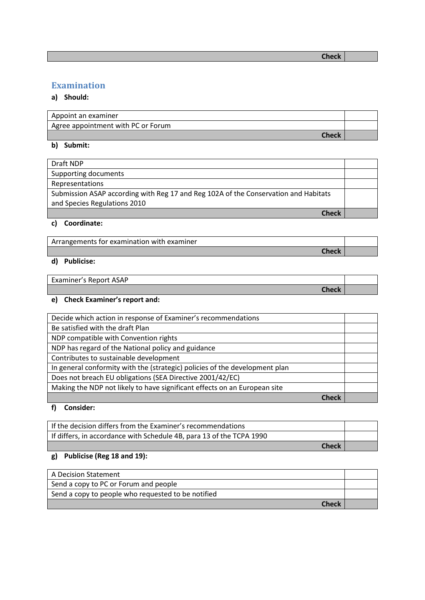# <span id="page-3-0"></span>**Examination**

#### **a) Should:**

| Appoint an examiner                |  |
|------------------------------------|--|
| Agree appointment with PC or Forum |  |
| <b>Check</b>                       |  |

**b) Submit:**

| Draft NDP                                                                           |  |
|-------------------------------------------------------------------------------------|--|
| Supporting documents                                                                |  |
| Representations                                                                     |  |
| Submission ASAP according with Reg 17 and Reg 102A of the Conservation and Habitats |  |
| and Species Regulations 2010                                                        |  |
| Check                                                                               |  |

#### **c) Coordinate:**

| Arrangements for examination with examiner |  |
|--------------------------------------------|--|
| Check                                      |  |

## **d) Publicise:**

| Examiner's Report ASAP |  |
|------------------------|--|
| Check                  |  |

# **e) Check Examiner's report and:**

| Decide which action in response of Examiner's recommendations               |  |
|-----------------------------------------------------------------------------|--|
| Be satisfied with the draft Plan                                            |  |
| NDP compatible with Convention rights                                       |  |
| NDP has regard of the National policy and guidance                          |  |
| Contributes to sustainable development                                      |  |
| In general conformity with the (strategic) policies of the development plan |  |
| Does not breach EU obligations (SEA Directive 2001/42/EC)                   |  |
| Making the NDP not likely to have significant effects on an European site   |  |
|                                                                             |  |

## **f) Consider:**

| If the decision differs from the Examiner's recommendations          |  |
|----------------------------------------------------------------------|--|
| If differs, in accordance with Schedule 4B, para 13 of the TCPA 1990 |  |
| <b>Check</b>                                                         |  |

# **g) Publicise (Reg 18 and 19):**

| A Decision Statement                               |  |
|----------------------------------------------------|--|
| Send a copy to PC or Forum and people              |  |
| Send a copy to people who requested to be notified |  |
| <b>Check</b>                                       |  |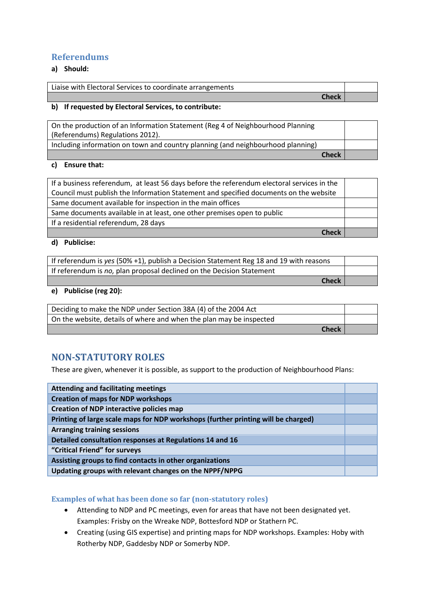## <span id="page-4-0"></span>**Referendums**

## **a) Should:**

| Liaise with Electoral Services to coordinate arrangements |  |
|-----------------------------------------------------------|--|
| Check                                                     |  |

#### **b) If requested by Electoral Services, to contribute:**

| On the production of an Information Statement (Reg 4 of Neighbourhood Planning  |  |
|---------------------------------------------------------------------------------|--|
| (Referendums) Regulations 2012).                                                |  |
| Including information on town and country planning (and neighbourhood planning) |  |
| <b>Check</b>                                                                    |  |

#### **c) Ensure that:**

| If a business referendum, at least 56 days before the referendum electoral services in the |  |
|--------------------------------------------------------------------------------------------|--|
| Council must publish the Information Statement and specified documents on the website      |  |
| Same document available for inspection in the main offices                                 |  |
| Same documents available in at least, one other premises open to public                    |  |
| If a residential referendum, 28 days                                                       |  |
| <b>Check</b>                                                                               |  |

#### **d) Publicise:**

| If referendum is yes (50% +1), publish a Decision Statement Reg 18 and 19 with reasons |  |
|----------------------------------------------------------------------------------------|--|
| If referendum is no, plan proposal declined on the Decision Statement                  |  |
| <b>Check</b>                                                                           |  |

#### **e) Publicise (reg 20):**

| Deciding to make the NDP under Section 38A (4) of the 2004 Act      |  |
|---------------------------------------------------------------------|--|
| On the website, details of where and when the plan may be inspected |  |
| <b>Check</b>                                                        |  |

# <span id="page-4-1"></span>**NON-STATUTORY ROLES**

These are given, whenever it is possible, as support to the production of Neighbourhood Plans:

| <b>Attending and facilitating meetings</b>                                        |  |
|-----------------------------------------------------------------------------------|--|
| <b>Creation of maps for NDP workshops</b>                                         |  |
| <b>Creation of NDP interactive policies map</b>                                   |  |
| Printing of large scale maps for NDP workshops (further printing will be charged) |  |
| <b>Arranging training sessions</b>                                                |  |
| Detailed consultation responses at Regulations 14 and 16                          |  |
| "Critical Friend" for surveys                                                     |  |
| Assisting groups to find contacts in other organizations                          |  |
| Updating groups with relevant changes on the NPPF/NPPG                            |  |

#### <span id="page-4-2"></span>**Examples of what has been done so far (non-statutory roles)**

- Attending to NDP and PC meetings, even for areas that have not been designated yet. Examples: Frisby on the Wreake NDP, Bottesford NDP or Stathern PC.
- Creating (using GIS expertise) and printing maps for NDP workshops. Examples: Hoby with Rotherby NDP, Gaddesby NDP or Somerby NDP.